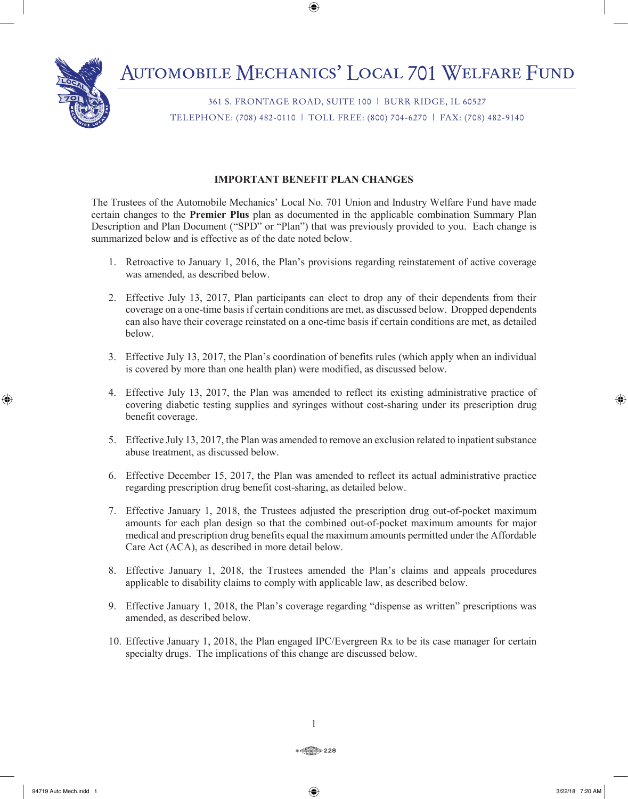361 S. FRONTAGE ROAD, SUITE 100 | BURR RIDGE, IL 60527 TELEPHONE: (708) 482-0110 | TOLL FREE: (800) 704-6270 | FAX: (708) 482-9140

# **IMPORTANT BENEFIT PLAN CHANGES**

The Trustees of the Automobile Mechanics' Local No. 701 Union and Industry Welfare Fund have made certain changes to the **Premier Plus** plan as documented in the applicable combination Summary Plan Description and Plan Document ("SPD" or "Plan") that was previously provided to you. Each change is summarized below and is effective as of the date noted below.

- 1. Retroactive to January 1, 2016, the Plan's provisions regarding reinstatement of active coverage was amended, as described below.
- 2. Effective July 13, 2017, Plan participants can elect to drop any of their dependents from their coverage on a one-time basis if certain conditions are met, as discussed below. Dropped dependents can also have their coverage reinstated on a one-time basis if certain conditions are met, as detailed below.
- 3. Effective July 13, 2017, the Plan's coordination of benefits rules (which apply when an individual is covered by more than one health plan) were modified, as discussed below.
- 4. Effective July 13, 2017, the Plan was amended to reflect its existing administrative practice of covering diabetic testing supplies and syringes without cost-sharing under its prescription drug benefit coverage.
- 5. Effective July 13, 2017, the Plan was amended to remove an exclusion related to inpatient substance abuse treatment, as discussed below.
- 6. Effective December 15, 2017, the Plan was amended to reflect its actual administrative practice regarding prescription drug benefit cost-sharing, as detailed below.
- 7. Effective January 1, 2018, the Trustees adjusted the prescription drug out-of-pocket maximum amounts for each plan design so that the combined out-of-pocket maximum amounts for major medical and prescription drug benefits equal the maximum amounts permitted under the Affordable Care Act (ACA), as described in more detail below.
- 8. Effective January 1, 2018, the Trustees amended the Plan's claims and appeals procedures applicable to disability claims to comply with applicable law, as described below.
- 9. Effective January 1, 2018, the Plan's coverage regarding "dispense as written" prescriptions was amended, as described below.
- 10. Effective January 1, 2018, the Plan engaged IPC/Evergreen Rx to be its case manager for certain specialty drugs. The implications of this change are discussed below.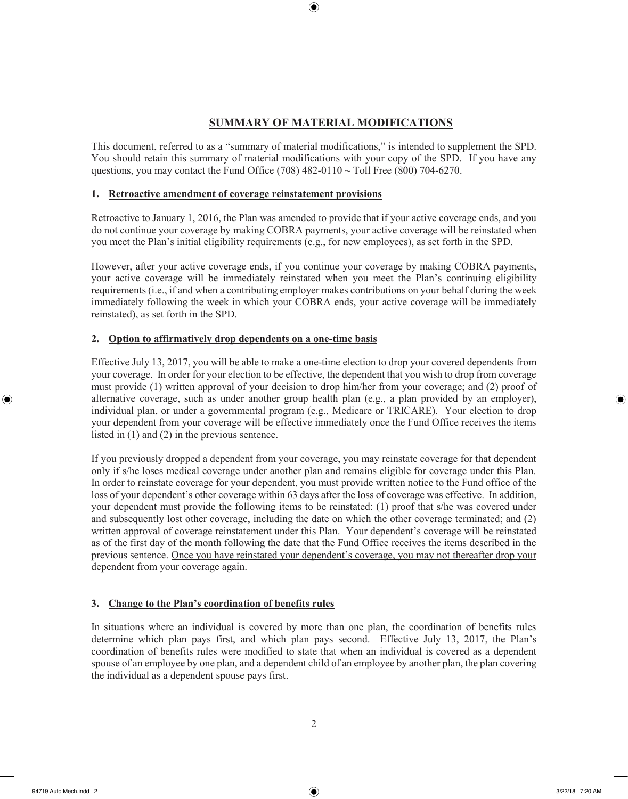# **SUMMARY OF MATERIAL MODIFICATIONS**

This document, referred to as a "summary of material modifications," is intended to supplement the SPD. You should retain this summary of material modifications with your copy of the SPD. If you have any questions, you may contact the Fund Office (708)  $482-0110 \sim$  Toll Free (800) 704-6270.

### **1. Retroactive amendment of coverage reinstatement provisions**

Retroactive to January 1, 2016, the Plan was amended to provide that if your active coverage ends, and you do not continue your coverage by making COBRA payments, your active coverage will be reinstated when you meet the Plan's initial eligibility requirements (e.g., for new employees), as set forth in the SPD.

However, after your active coverage ends, if you continue your coverage by making COBRA payments, your active coverage will be immediately reinstated when you meet the Plan's continuing eligibility requirements (i.e., if and when a contributing employer makes contributions on your behalf during the week immediately following the week in which your COBRA ends, your active coverage will be immediately reinstated), as set forth in the SPD.

# **2. Option to affirmatively drop dependents on a one-time basis**

Effective July 13, 2017, you will be able to make a one-time election to drop your covered dependents from your coverage. In order for your election to be effective, the dependent that you wish to drop from coverage must provide (1) written approval of your decision to drop him/her from your coverage; and (2) proof of alternative coverage, such as under another group health plan (e.g., a plan provided by an employer), individual plan, or under a governmental program (e.g., Medicare or TRICARE). Your election to drop your dependent from your coverage will be effective immediately once the Fund Office receives the items listed in (1) and (2) in the previous sentence.

If you previously dropped a dependent from your coverage, you may reinstate coverage for that dependent only if s/he loses medical coverage under another plan and remains eligible for coverage under this Plan. In order to reinstate coverage for your dependent, you must provide written notice to the Fund office of the loss of your dependent's other coverage within 63 days after the loss of coverage was effective. In addition, your dependent must provide the following items to be reinstated: (1) proof that s/he was covered under and subsequently lost other coverage, including the date on which the other coverage terminated; and (2) written approval of coverage reinstatement under this Plan. Your dependent's coverage will be reinstated as of the first day of the month following the date that the Fund Office receives the items described in the previous sentence. Once you have reinstated your dependent's coverage, you may not thereafter drop your dependent from your coverage again.

# **3. Change to the Plan's coordination of benefits rules**

In situations where an individual is covered by more than one plan, the coordination of benefits rules determine which plan pays first, and which plan pays second. Effective July 13, 2017, the Plan's coordination of benefits rules were modified to state that when an individual is covered as a dependent spouse of an employee by one plan, and a dependent child of an employee by another plan, the plan covering the individual as a dependent spouse pays first.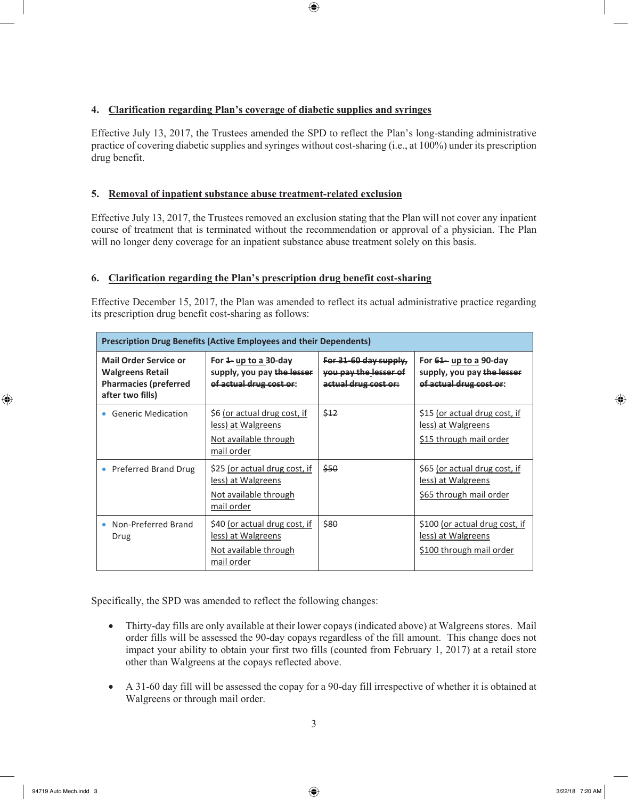# **4. Clarification regarding Plan's coverage of diabetic supplies and syringes**

Effective July 13, 2017, the Trustees amended the SPD to reflect the Plan's long-standing administrative practice of covering diabetic supplies and syringes without cost-sharing (i.e., at 100%) under its prescription drug benefit.

# **5. Removal of inpatient substance abuse treatment-related exclusion**

Effective July 13, 2017, the Trustees removed an exclusion stating that the Plan will not cover any inpatient course of treatment that is terminated without the recommendation or approval of a physician. The Plan will no longer deny coverage for an inpatient substance abuse treatment solely on this basis.

# **6. Clarification regarding the Plan's prescription drug benefit cost-sharing**

Effective December 15, 2017, the Plan was amended to reflect its actual administrative practice regarding its prescription drug benefit cost-sharing as follows:

| <b>Prescription Drug Benefits (Active Employees and their Dependents)</b>                                   |                                                                                            |                                                                        |                                                                                  |
|-------------------------------------------------------------------------------------------------------------|--------------------------------------------------------------------------------------------|------------------------------------------------------------------------|----------------------------------------------------------------------------------|
| <b>Mail Order Service or</b><br><b>Walgreens Retail</b><br><b>Pharmacies (preferred</b><br>after two fills) | For $4$ - up to a 30-day<br>supply, you pay the lesser<br>of actual drug cost or:          | For 31-60 day supply.<br>you pay the lesser of<br>actual drug cost or: | For $64$ up to a 90-day<br>supply, you pay the lesser<br>of actual drug cost or: |
| <b>Generic Medication</b>                                                                                   | \$6 (or actual drug cost, if<br>less) at Walgreens<br>Not available through<br>mail order  | \$42                                                                   | \$15 (or actual drug cost, if<br>less) at Walgreens<br>\$15 through mail order   |
| Preferred Brand Drug                                                                                        | \$25 (or actual drug cost, if<br>less) at Walgreens<br>Not available through<br>mail order | \$50                                                                   | \$65 (or actual drug cost, if<br>less) at Walgreens<br>\$65 through mail order   |
| Non-Preferred Brand<br>Drug                                                                                 | \$40 (or actual drug cost, if<br>less) at Walgreens<br>Not available through<br>mail order | \$80                                                                   | \$100 (or actual drug cost, if<br>less) at Walgreens<br>\$100 through mail order |

Specifically, the SPD was amended to reflect the following changes:

- Thirty-day fills are only available at their lower copays (indicated above) at Walgreens stores. Mail order fills will be assessed the 90-day copays regardless of the fill amount. This change does not impact your ability to obtain your first two fills (counted from February 1, 2017) at a retail store other than Walgreens at the copays reflected above.
- A 31-60 day fill will be assessed the copay for a 90-day fill irrespective of whether it is obtained at Walgreens or through mail order.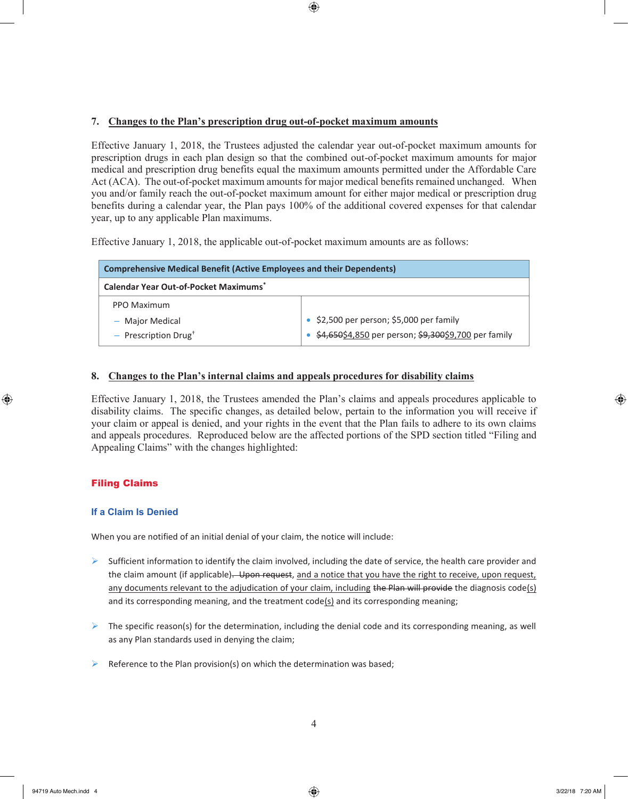### **7. Changes to the Plan's prescription drug out-of-pocket maximum amounts**

Effective January 1, 2018, the Trustees adjusted the calendar year out-of-pocket maximum amounts for prescription drugs in each plan design so that the combined out-of-pocket maximum amounts for major medical and prescription drug benefits equal the maximum amounts permitted under the Affordable Care Act (ACA). The out-of-pocket maximum amounts for major medical benefits remained unchanged. When you and/or family reach the out-of-pocket maximum amount for either major medical or prescription drug benefits during a calendar year, the Plan pays 100% of the additional covered expenses for that calendar year, up to any applicable Plan maximums.

Effective January 1, 2018, the applicable out-of-pocket maximum amounts are as follows:

| <b>Comprehensive Medical Benefit (Active Employees and their Dependents)</b> |                                                      |  |  |
|------------------------------------------------------------------------------|------------------------------------------------------|--|--|
| <b>Calendar Year Out-of-Pocket Maximums*</b>                                 |                                                      |  |  |
| PPO Maximum                                                                  |                                                      |  |  |
| - Major Medical                                                              | \$2,500 per person; \$5,000 per family               |  |  |
| $-$ Prescription Drug <sup>+</sup>                                           | \$4,650\$4,850 per person; \$9,300\$9,700 per family |  |  |

### **8. Changes to the Plan's internal claims and appeals procedures for disability claims**

Effective January 1, 2018, the Trustees amended the Plan's claims and appeals procedures applicable to disability claims. The specific changes, as detailed below, pertain to the information you will receive if your claim or appeal is denied, and your rights in the event that the Plan fails to adhere to its own claims and appeals procedures. Reproduced below are the affected portions of the SPD section titled "Filing and Appealing Claims" with the changes highlighted:

# Filing Claims

### **If a Claim Is Denied**

When you are notified of an initial denial of your claim, the notice will include:

- $\triangleright$  Sufficient information to identify the claim involved, including the date of service, the health care provider and the claim amount (if applicable). Upon request, and a notice that you have the right to receive, upon request, any documents relevant to the adjudication of your claim, including the Plan will provide the diagnosis code(s) and its corresponding meaning, and the treatment code(s) and its corresponding meaning;
- $\triangleright$  The specific reason(s) for the determination, including the denial code and its corresponding meaning, as well as any Plan standards used in denying the claim;
- $\triangleright$  Reference to the Plan provision(s) on which the determination was based;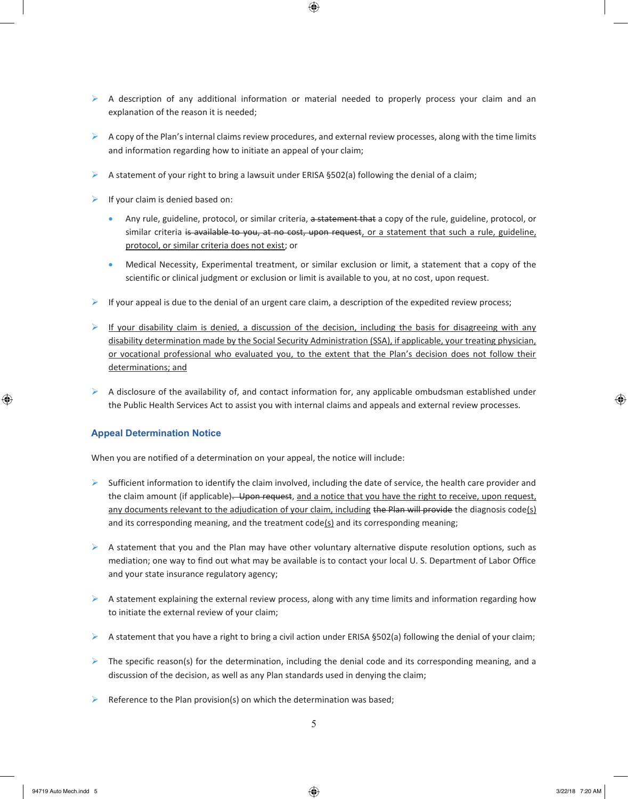- $\triangleright$  A description of any additional information or material needed to properly process your claim and an explanation of the reason it is needed;
- $\triangleright$  A copy of the Plan's internal claims review procedures, and external review processes, along with the time limits and information regarding how to initiate an appeal of your claim;
- A statement of your right to bring a lawsuit under ERISA  $\S502(a)$  following the denial of a claim;
- $\triangleright$  If your claim is denied based on:
	- Any rule, guideline, protocol, or similar criteria, a statement that a copy of the rule, guideline, protocol, or similar criteria is available to you, at no cost, upon request, or a statement that such a rule, guideline, protocol, or similar criteria does not exist; or
	- Medical Necessity, Experimental treatment, or similar exclusion or limit, a statement that a copy of the scientific or clinical judgment or exclusion or limit is available to you, at no cost, upon request.
- $\triangleright$  If your appeal is due to the denial of an urgent care claim, a description of the expedited review process;
- If your disability claim is denied, a discussion of the decision, including the basis for disagreeing with any disability determination made by the Social Security Administration (SSA), if applicable, your treating physician, or vocational professional who evaluated you, to the extent that the Plan's decision does not follow their determinations; and
- $\triangleright$  A disclosure of the availability of, and contact information for, any applicable ombudsman established under the Public Health Services Act to assist you with internal claims and appeals and external review processes.

#### **Appeal Determination Notice**

When you are notified of a determination on your appeal, the notice will include:

- $\triangleright$  Sufficient information to identify the claim involved, including the date of service, the health care provider and the claim amount (if applicable). Upon request, and a notice that you have the right to receive, upon request, any documents relevant to the adjudication of your claim, including the Plan will provide the diagnosis code(s) and its corresponding meaning, and the treatment code(s) and its corresponding meaning;
- $\triangleright$  A statement that you and the Plan may have other voluntary alternative dispute resolution options, such as mediation; one way to find out what may be available is to contact your local U. S. Department of Labor Office and your state insurance regulatory agency;
- $\triangleright$  A statement explaining the external review process, along with any time limits and information regarding how to initiate the external review of your claim;
- A statement that you have a right to bring a civil action under ERISA §502(a) following the denial of your claim;
- $\triangleright$  The specific reason(s) for the determination, including the denial code and its corresponding meaning, and a discussion of the decision, as well as any Plan standards used in denying the claim;
- $\triangleright$  Reference to the Plan provision(s) on which the determination was based;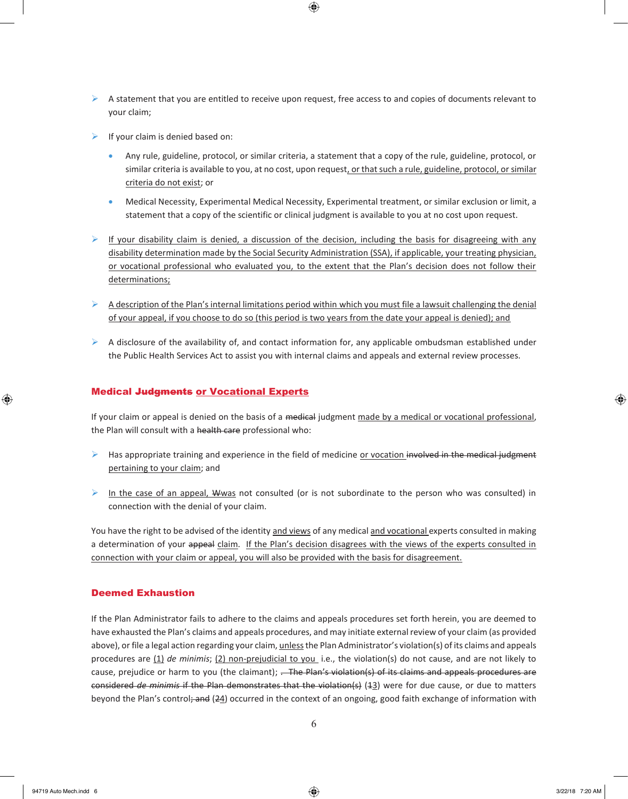- $\triangleright$  A statement that you are entitled to receive upon request, free access to and copies of documents relevant to your claim;
- $\triangleright$  If your claim is denied based on:
	- Any rule, guideline, protocol, or similar criteria, a statement that a copy of the rule, guideline, protocol, or similar criteria is available to you, at no cost, upon request, or that such a rule, guideline, protocol, or similar criteria do not exist; or
	- Medical Necessity, Experimental Medical Necessity, Experimental treatment, or similar exclusion or limit, a statement that a copy of the scientific or clinical judgment is available to you at no cost upon request.
- If your disability claim is denied, a discussion of the decision, including the basis for disagreeing with any disability determination made by the Social Security Administration (SSA), if applicable, your treating physician, or vocational professional who evaluated you, to the extent that the Plan's decision does not follow their determinations;
- $\triangleright$  A description of the Plan's internal limitations period within which you must file a lawsuit challenging the denial of your appeal, if you choose to do so (this period is two years from the date your appeal is denied); and
- $\triangleright$  A disclosure of the availability of, and contact information for, any applicable ombudsman established under the Public Health Services Act to assist you with internal claims and appeals and external review processes.

#### Medical Judgments or Vocational Experts

If your claim or appeal is denied on the basis of a medical judgment made by a medical or vocational professional, the Plan will consult with a health care professional who:

- $\triangleright$  Has appropriate training and experience in the field of medicine or vocation involved in the medical judgment pertaining to your claim; and
- In the case of an appeal, Wwas not consulted (or is not subordinate to the person who was consulted) in connection with the denial of your claim.

You have the right to be advised of the identity and views of any medical and vocational experts consulted in making a determination of your appeal claim. If the Plan's decision disagrees with the views of the experts consulted in connection with your claim or appeal, you will also be provided with the basis for disagreement.

#### Deemed Exhaustion

If the Plan Administrator fails to adhere to the claims and appeals procedures set forth herein, you are deemed to have exhausted the Plan's claims and appeals procedures, and may initiate external review of your claim (as provided above), or file a legal action regarding your claim, unless the Plan Administrator's violation(s) of its claims and appeals procedures are (1) *de minimis*; (2) non-prejudicial to you i.e., the violation(s) do not cause, and are not likely to cause, prejudice or harm to you (the claimant); . The Plan's violation(s) of its claims and appeals procedures are considered *de minimis* if the Plan demonstrates that the violation(s) (13) were for due cause, or due to matters beyond the Plan's control; and (24) occurred in the context of an ongoing, good faith exchange of information with